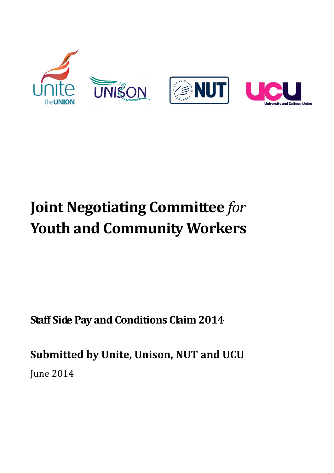

# Joint Negotiating Committee for Youth and Community Workers

Staff Side Pay and Conditions Claim 2014

Submitted by Unite, Unison, NUT and UCU

June 2014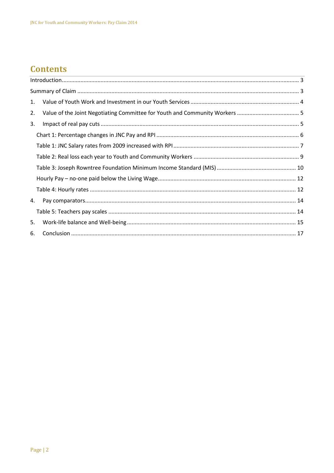## **Contents**

| 1. |  |
|----|--|
| 2. |  |
| 3. |  |
|    |  |
|    |  |
|    |  |
|    |  |
|    |  |
|    |  |
| 4. |  |
|    |  |
| 5. |  |
| 6. |  |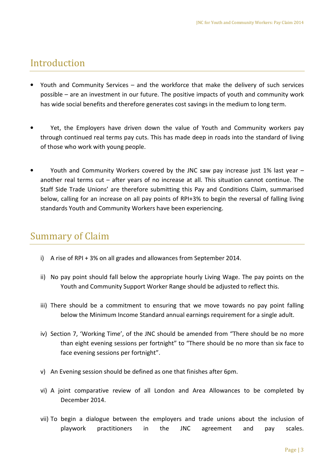## Introduction

- Youth and Community Services and the workforce that make the delivery of such services possible – are an investment in our future. The positive impacts of youth and community work has wide social benefits and therefore generates cost savings in the medium to long term.
- Yet, the Employers have driven down the value of Youth and Community workers pay through continued real terms pay cuts. This has made deep in roads into the standard of living of those who work with young people.
- Youth and Community Workers covered by the JNC saw pay increase just 1% last year  $$ another real terms cut – after years of no increase at all. This situation cannot continue. The Staff Side Trade Unions' are therefore submitting this Pay and Conditions Claim, summarised below, calling for an increase on all pay points of RPI+3% to begin the reversal of falling living standards Youth and Community Workers have been experiencing.

## Summary of Claim

- i) A rise of RPI + 3% on all grades and allowances from September 2014.
- ii) No pay point should fall below the appropriate hourly Living Wage. The pay points on the Youth and Community Support Worker Range should be adjusted to reflect this.
- iii) There should be a commitment to ensuring that we move towards no pay point falling below the Minimum Income Standard annual earnings requirement for a single adult.
- iv) Section 7, 'Working Time', of the JNC should be amended from "There should be no more than eight evening sessions per fortnight" to "There should be no more than six face to face evening sessions per fortnight".
- v) An Evening session should be defined as one that finishes after 6pm.
- vi) A joint comparative review of all London and Area Allowances to be completed by December 2014.
- vii) To begin a dialogue between the employers and trade unions about the inclusion of playwork practitioners in the JNC agreement and pay scales.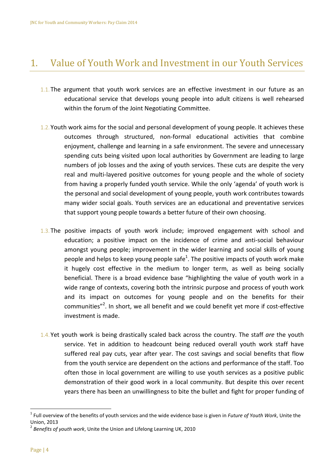## 1. Value of Youth Work and Investment in our Youth Services

- 1.1.The argument that youth work services are an effective investment in our future as an educational service that develops young people into adult citizens is well rehearsed within the forum of the Joint Negotiating Committee.
- 1.2.Youth work aims for the social and personal development of young people. It achieves these outcomes through structured, non-formal educational activities that combine enjoyment, challenge and learning in a safe environment. The severe and unnecessary spending cuts being visited upon local authorities by Government are leading to large numbers of job losses and the axing of youth services. These cuts are despite the very real and multi-layered positive outcomes for young people and the whole of society from having a properly funded youth service. While the only 'agenda' of youth work is the personal and social development of young people, youth work contributes towards many wider social goals. Youth services are an educational and preventative services that support young people towards a better future of their own choosing.
- 1.3.The positive impacts of youth work include; improved engagement with school and education; a positive impact on the incidence of crime and anti-social behaviour amongst young people; improvement in the wider learning and social skills of young people and helps to keep young people safe<sup>1</sup>. The positive impacts of youth work make it hugely cost effective in the medium to longer term, as well as being socially beneficial. There is a broad evidence base "highlighting the value of youth work in a wide range of contexts, covering both the intrinsic purpose and process of youth work and its impact on outcomes for young people and on the benefits for their communities"<sup>2</sup>. In short, we all benefit and we could benefit yet more if cost-effective investment is made.
- 1.4. Yet youth work is being drastically scaled back across the country. The staff are the youth service. Yet in addition to headcount being reduced overall youth work staff have suffered real pay cuts, year after year. The cost savings and social benefits that flow from the youth service are dependent on the actions and performance of the staff. Too often those in local government are willing to use youth services as a positive public demonstration of their good work in a local community. But despite this over recent years there has been an unwillingness to bite the bullet and fight for proper funding of

 $\overline{a}$ 

<sup>&</sup>lt;sup>1</sup> Full overview of the benefits of youth services and the wide evidence base is given in Future of Youth Work, Unite the Union, 2013

 $^2$  Benefits of youth work, Unite the Union and Lifelong Learning UK, 2010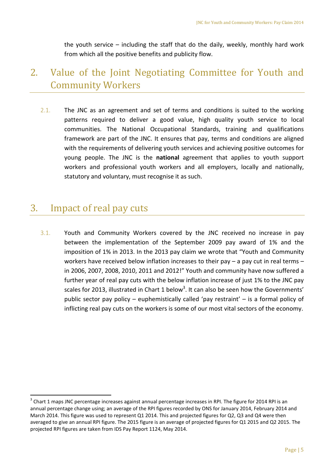the youth service – including the staff that do the daily, weekly, monthly hard work from which all the positive benefits and publicity flow.

# 2. Value of the Joint Negotiating Committee for Youth and Community Workers

2.1. The JNC as an agreement and set of terms and conditions is suited to the working patterns required to deliver a good value, high quality youth service to local communities. The National Occupational Standards, training and qualifications framework are part of the JNC. It ensures that pay, terms and conditions are aligned with the requirements of delivering youth services and achieving positive outcomes for young people. The JNC is the national agreement that applies to youth support workers and professional youth workers and all employers, locally and nationally, statutory and voluntary, must recognise it as such.

## 3. Impact of real pay cuts

l

3.1. Youth and Community Workers covered by the JNC received no increase in pay between the implementation of the September 2009 pay award of 1% and the imposition of 1% in 2013. In the 2013 pay claim we wrote that "Youth and Community workers have received below inflation increases to their pay – a pay cut in real terms – in 2006, 2007, 2008, 2010, 2011 and 2012!" Youth and community have now suffered a further year of real pay cuts with the below inflation increase of just 1% to the JNC pay scales for 2013, illustrated in Chart 1 below<sup>3</sup>. It can also be seen how the Governments' public sector pay policy – euphemistically called 'pay restraint' – is a formal policy of inflicting real pay cuts on the workers is some of our most vital sectors of the economy.

 $^3$  Chart 1 maps JNC percentage increases against annual percentage increases in RPI. The figure for 2014 RPI is an annual percentage change using; an average of the RPI figures recorded by ONS for January 2014, February 2014 and March 2014. This figure was used to represent Q1 2014. This and projected figures for Q2, Q3 and Q4 were then averaged to give an annual RPI figure. The 2015 figure is an average of projected figures for Q1 2015 and Q2 2015. The projected RPI figures are taken from IDS Pay Report 1124, May 2014.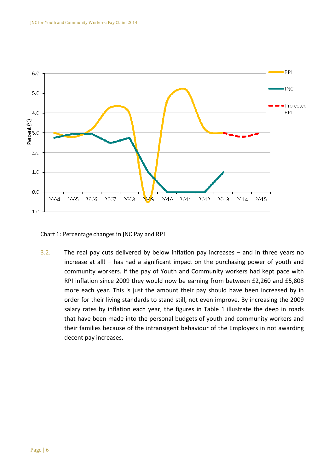

Chart 1: Percentage changes in JNC Pay and RPI

3.2. The real pay cuts delivered by below inflation pay increases – and in three years no increase at all! – has had a significant impact on the purchasing power of youth and community workers. If the pay of Youth and Community workers had kept pace with RPI inflation since 2009 they would now be earning from between £2,260 and £5,808 more each year. This is just the amount their pay should have been increased by in order for their living standards to stand still, not even improve. By increasing the 2009 salary rates by inflation each year, the figures in Table 1 illustrate the deep in roads that have been made into the personal budgets of youth and community workers and their families because of the intransigent behaviour of the Employers in not awarding decent pay increases.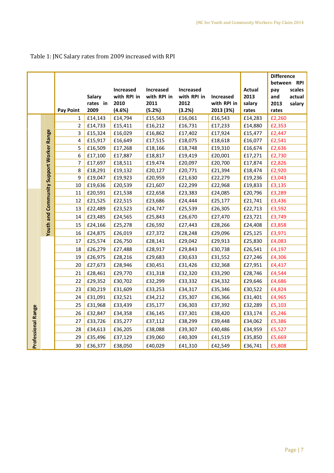|                           |                                          |                         |               |             |                  |                  |                  |         | <b>Difference</b> |             |
|---------------------------|------------------------------------------|-------------------------|---------------|-------------|------------------|------------------|------------------|---------|-------------------|-------------|
|                           |                                          |                         |               |             |                  |                  |                  |         |                   | between RPI |
|                           |                                          |                         |               | Increased   | <b>Increased</b> | <b>Increased</b> |                  | Actual  | pay               | scales      |
|                           |                                          |                         | <b>Salary</b> | with RPI in | with RPI in      | with RPI in      | <b>Increased</b> | 2013    | and               | actual      |
|                           |                                          |                         | rates in      | 2010        | 2011             | 2012             | with RPI in      | salary  | 2013              | salary      |
|                           |                                          | <b>Pay Point</b>        | 2009          | (4.6%)      | (5.2%)           | (3.2%)           | 2013 (3%)        | rates   | rates             |             |
|                           |                                          | $\mathbf{1}$            | £14,143       | £14,794     | £15,563          | £16,061          | £16,543          | £14,283 | £2,260            |             |
|                           |                                          | $\overline{2}$          | £14,733       | £15,411     | £16,212          | £16,731          | £17,233          | £14,880 | £2,353            |             |
|                           |                                          | $\overline{\mathbf{3}}$ | £15,324       | £16,029     | £16,862          | £17,402          | £17,924          | £15,477 | £2,447            |             |
|                           |                                          | $\overline{\mathbf{4}}$ | £15,917       | £16,649     | £17,515          | £18,075          | £18,618          | £16,077 | £2,541            |             |
|                           |                                          | 5                       | £16,509       | £17,268     | £18,166          | £18,748          | £19,310          | £16,674 | £2,636            |             |
|                           |                                          | 6                       | £17,100       | £17,887     | £18,817          | £19,419          | £20,001          | £17,271 | £2,730            |             |
|                           |                                          | $\overline{7}$          | £17,697       | £18,511     | £19,474          | £20,097          | £20,700          | £17,874 | £2,826            |             |
|                           |                                          | 8                       | £18,291       | £19,132     | £20,127          | £20,771          | £21,394          | £18,474 | £2,920            |             |
|                           |                                          | 9                       | £19,047       | £19,923     | £20,959          | £21,630          | £22,279          | £19,236 | £3,043            |             |
|                           |                                          | 10                      | £19,636       | £20,539     | £21,607          | £22,299          | £22,968          | £19,833 | £3,135            |             |
|                           |                                          | 11                      | £20,591       | £21,538     | £22,658          | £23,383          | £24,085          | £20,796 | £3,289            |             |
|                           |                                          | 12                      | £21,525       | £22,515     | £23,686          | £24,444          | £25,177          | £21,741 | £3,436            |             |
|                           |                                          | 13                      | £22,489       | £23,523     | £24,747          | £25,539          | £26,305          | £22,713 | £3,592            |             |
|                           |                                          | 14                      | £23,485       | £24,565     | £25,843          | £26,670          | £27,470          | £23,721 | £3,749            |             |
|                           | Youth and Community Support Worker Range | 15                      | £24,166       | £25,278     | £26,592          | £27,443          | £28,266          | £24,408 | £3,858            |             |
|                           |                                          | 16                      | £24,875       | £26,019     | £27,372          | £28,248          | £29,096          | £25,125 | £3,971            |             |
|                           |                                          | 17                      | £25,574       | £26,750     | £28,141          | £29,042          | £29,913          | £25,830 | £4,083            |             |
|                           |                                          | 18                      | £26,279       | £27,488     | £28,917          | £29,843          | £30,738          | £26,541 | £4,197            |             |
|                           |                                          | 19                      | £26,975       | £28,216     | £29,683          | £30,633          | £31,552          | £27,246 | £4,306            |             |
|                           |                                          | 20                      | £27,673       | £28,946     | £30,451          | £31,426          | £32,368          | £27,951 | £4,417            |             |
|                           |                                          | 21                      | £28,461       | £29,770     | £31,318          | £32,320          | £33,290          | £28,746 | £4,544            |             |
|                           |                                          | 22                      | £29,352       | £30,702     | £32,299          | £33,332          | £34,332          | £29,646 | £4,686            |             |
|                           |                                          | 23                      | £30,219       | £31,609     | £33,253          | £34,317          | £35,346          | £30,522 | £4,824            |             |
|                           |                                          | 24                      | £31,091       | £32,521     | £34,212          | £35,307          | £36,366          | £31,401 | £4,965            |             |
|                           |                                          | 25                      | £31,968       | £33,439     | £35,177          | £36,303          | £37,392          | £32,289 | £5,103            |             |
|                           |                                          | 26                      | £32,847       | £34,358     | £36,145          | £37,301          | £38,420          | £33,174 | £5,246            |             |
|                           |                                          | 27                      | £33,726       | £35,277     | £37,112          | £38,299          | £39,448          | £34,062 | £5,386            |             |
|                           |                                          | 28                      | £34,613       | £36,205     | £38,088          | £39,307          | £40,486          | £34,959 | £5,527            |             |
| <b>Professional Range</b> |                                          | 29                      | £35,496       | £37,129     | £39,060          | £40,309          | £41,519          | £35,850 | £5,669            |             |
|                           |                                          | 30                      | £36,377       | £38,050     | £40,029          | £41,310          | £42,549          | £36,741 | £5,808            |             |

### Table 1: JNC Salary rates from 2009 increased with RPI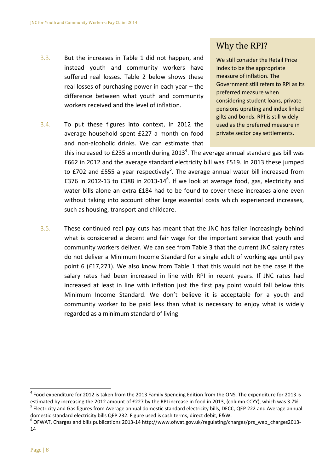- 3.3. But the increases in Table 1 did not happen, and instead youth and community workers have suffered real losses. Table 2 below shows these real losses of purchasing power in each year – the difference between what youth and community workers received and the level of inflation.
- 3.4. To put these figures into context, in 2012 the average household spent £227 a month on food and non-alcoholic drinks. We can estimate that

### Why the RPI?

We still consider the Retail Price Index to be the appropriate measure of inflation. The Government still refers to RPI as its preferred measure when considering student loans, private pensions uprating and index linked gilts and bonds. RPI is still widely used as the preferred measure in private sector pay settlements.

this increased to £235 a month during 2013<sup>4</sup>. The average annual standard gas bill was £662 in 2012 and the average standard electricity bill was £519. In 2013 these jumped to £702 and £555 a year respectively<sup>5</sup>. The average annual water bill increased from £376 in 2012-13 to £388 in 2013-14<sup>6</sup>. If we look at average food, gas, electricity and water bills alone an extra £184 had to be found to cover these increases alone even without taking into account other large essential costs which experienced increases, such as housing, transport and childcare.

3.5. These continued real pay cuts has meant that the JNC has fallen increasingly behind what is considered a decent and fair wage for the important service that youth and community workers deliver. We can see from Table 3 that the current JNC salary rates do not deliver a Minimum Income Standard for a single adult of working age until pay point 6 (£17,271). We also know from Table 1 that this would not be the case if the salary rates had been increased in line with RPI in recent years. If JNC rates had increased at least in line with inflation just the first pay point would fall below this Minimum Income Standard. We don't believe it is acceptable for a youth and community worker to be paid less than what is necessary to enjoy what is widely regarded as a minimum standard of living

 $\overline{\phantom{0}}$ 

<sup>&</sup>lt;sup>4</sup> Food expenditure for 2012 is taken from the 2013 Family Spending Edition from the ONS. The expenditure for 2013 is estimated by increasing the 2012 amount of £227 by the RPI increase in food in 2013, (column CCYY), which was 3.7%.

<sup>&</sup>lt;sup>5</sup> Electricity and Gas figures from Average annual domestic standard electricity bills, DECC, QEP 222 and Average annual domestic standard electricity bills QEP 232. Figure used is cash terms, direct debit, E&W.

 $^6$  OFWAT, Charges and bills publications 2013-14 http://www.ofwat.gov.uk/regulating/charges/prs\_web\_charges2013-14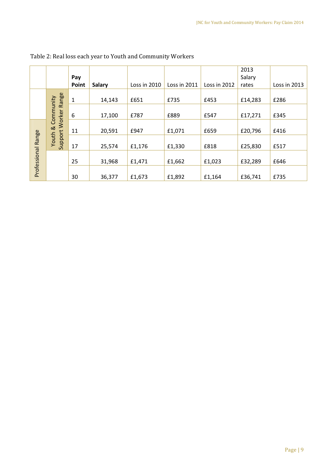|                    |                     | Pay<br>Point | <b>Salary</b> | Loss in 2010 | Loss in 2011 | Loss in 2012 | 2013<br>Salary<br>rates | Loss in 2013 |
|--------------------|---------------------|--------------|---------------|--------------|--------------|--------------|-------------------------|--------------|
|                    | Range               | 1            | 14,143        | £651         | £735         | £453         | £14,283                 | £286         |
|                    | Community<br>Worker | 6            | 17,100        | £787         | £889         | £547         | £17,271                 | £345         |
|                    |                     | 11           | 20,591        | £947         | £1,071       | £659         | £20,796                 | £416         |
|                    | Youth &<br>Support  | 17           | 25,574        | £1,176       | £1,330       | £818         | £25,830                 | £517         |
| Professional Range |                     | 25           | 31,968        | £1,471       | £1,662       | £1,023       | £32,289                 | £646         |
|                    |                     | 30           | 36,377        | £1,673       | £1,892       | £1,164       | £36,741                 | £735         |

### Table 2: Real loss each year to Youth and Community Workers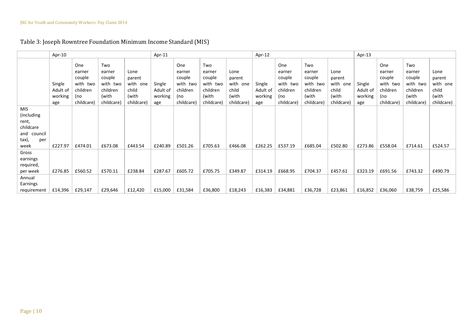|                                                                                        | Apr-10                               |                                                                      |                                                                        |                                                            | Apr-11                               |                                                                      |                                                                        |                                                            | Apr-12                               |                                                                      |                                                                        |                                                            | Apr-13                               |                                                                      |                                                                        |                                                            |
|----------------------------------------------------------------------------------------|--------------------------------------|----------------------------------------------------------------------|------------------------------------------------------------------------|------------------------------------------------------------|--------------------------------------|----------------------------------------------------------------------|------------------------------------------------------------------------|------------------------------------------------------------|--------------------------------------|----------------------------------------------------------------------|------------------------------------------------------------------------|------------------------------------------------------------|--------------------------------------|----------------------------------------------------------------------|------------------------------------------------------------------------|------------------------------------------------------------|
|                                                                                        | Single<br>Adult of<br>working<br>age | One<br>earner<br>couple<br>with two<br>children<br>(no<br>childcare) | Two<br>earner<br>couple<br>with two<br>children<br>(with<br>childcare) | Lone<br>parent<br>with one<br>child<br>(with<br>childcare) | Single<br>Adult of<br>working<br>age | One<br>earner<br>couple<br>with two<br>children<br>(no<br>childcare) | Two<br>earner<br>couple<br>with two<br>children<br>(with<br>childcare) | Lone<br>parent<br>with one<br>child<br>(with<br>childcare) | Single<br>Adult of<br>working<br>age | One<br>earner<br>couple<br>with two<br>children<br>(no<br>childcare) | Two<br>earner<br>couple<br>with two<br>children<br>(with<br>childcare) | Lone<br>parent<br>with one<br>child<br>(with<br>childcare) | Single<br>Adult of<br>working<br>age | One<br>earner<br>couple<br>with two<br>children<br>(no<br>childcare) | Two<br>earner<br>couple<br>with two<br>children<br>(with<br>childcare) | Lone<br>parent<br>with one<br>child<br>(with<br>childcare) |
| <b>MIS</b><br>(including)<br>rent,<br>childcare<br>and council<br>tax),<br>per<br>week | £227.97                              | £474.01                                                              | £673.08                                                                | £443.54                                                    | £240.89                              | £501.26                                                              | £705.63                                                                | £466.08                                                    | £262.25                              | £537.19                                                              | £685.04                                                                | £502.80                                                    | £273.86                              | £558.04                                                              | £714.61                                                                | £524.57                                                    |
| Gross<br>earnings<br>required,<br>per week<br>Annual<br>Earnings<br>requirement        | £276.85<br>£14,396                   | £560.52<br>£29,147                                                   | £570.11<br>£29,646                                                     | £238.84<br>£12,420                                         | £287.67<br>£15,000                   | £605.72<br>£31,584                                                   | £705.75<br>£36,800                                                     | £349.87<br>£18,243                                         | £314.19<br>£16,383                   | £668.95<br>£34,881                                                   | £704.37<br>£36,728                                                     | £457.61<br>£23,861                                         | £323.19<br>£16,852                   | £691.56<br>£36,060                                                   | £743.32<br>£38,759                                                     | £490.79<br>£25,586                                         |

#### Table 3: Joseph Rowntree Foundation Minimum Income Standard (MIS)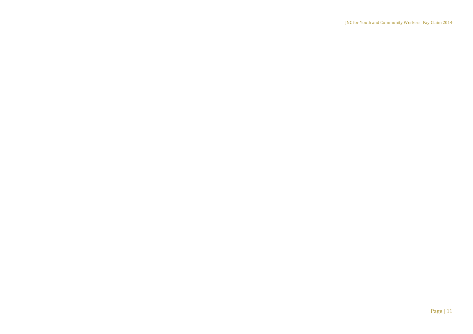JNC for Youth and Community Workers: Pay Claim 2014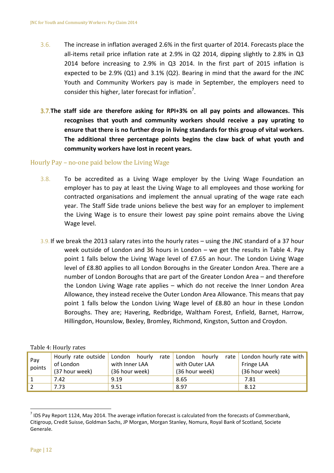- 3.6. The increase in inflation averaged 2.6% in the first quarter of 2014. Forecasts place the all-items retail price inflation rate at 2.9% in Q2 2014, dipping slightly to 2.8% in Q3 2014 before increasing to 2.9% in Q3 2014. In the first part of 2015 inflation is expected to be 2.9% (Q1) and 3.1% (Q2). Bearing in mind that the award for the JNC Youth and Community Workers pay is made in September, the employers need to consider this higher, later forecast for inflation<sup>7</sup>.
- 3.7. The staff side are therefore asking for RPI+3% on all pay points and allowances. This recognises that youth and community workers should receive a pay uprating to ensure that there is no further drop in living standards for this group of vital workers. The additional three percentage points begins the claw back of what youth and community workers have lost in recent years.

#### Hourly Pay – no-one paid below the Living Wage

- 3.8. To be accredited as a Living Wage employer by the Living Wage Foundation an employer has to pay at least the Living Wage to all employees and those working for contracted organisations and implement the annual uprating of the wage rate each year. The Staff Side trade unions believe the best way for an employer to implement the Living Wage is to ensure their lowest pay spine point remains above the Living Wage level.
- 3.9.If we break the 2013 salary rates into the hourly rates using the JNC standard of a 37 hour week outside of London and 36 hours in London – we get the results in Table 4. Pay point 1 falls below the Living Wage level of £7.65 an hour. The London Living Wage level of £8.80 applies to all London Boroughs in the Greater London Area. There are a number of London Boroughs that are part of the Greater London Area – and therefore the London Living Wage rate applies – which do not receive the Inner London Area Allowance, they instead receive the Outer London Area Allowance. This means that pay point 1 falls below the London Living Wage level of £8.80 an hour in these London Boroughs. They are; Havering, Redbridge, Waltham Forest, Enfield, Barnet, Harrow, Hillingdon, Hounslow, Bexley, Bromley, Richmond, Kingston, Sutton and Croydon.

|               | rabic <i>i</i> . <i>noan</i> , <i>ratto</i>        |                                                   |                                                        |                                                              |
|---------------|----------------------------------------------------|---------------------------------------------------|--------------------------------------------------------|--------------------------------------------------------------|
| Pay<br>points | Hourly rate outside<br>of London<br>(37 hour week) | London hourly<br>with Inner LAA<br>(36 hour week) | rate London hourly<br>with Outer LAA<br>(36 hour week) | rate London hourly rate with<br>Fringe LAA<br>(36 hour week) |
|               | 7.42                                               | 9.19                                              | 8.65                                                   | 7.81                                                         |
|               | 7.73                                               | 9.51                                              | 8.97                                                   | 8.12                                                         |

Table 4: Hourly rates

 $\overline{a}$ 

 $^7$  IDS Pay Report 1124, May 2014. The average inflation forecast is calculated from the forecasts of Commerzbank, Citigroup, Credit Suisse, Goldman Sachs, JP Morgan, Morgan Stanley, Nomura, Royal Bank of Scotland, Societe Generale.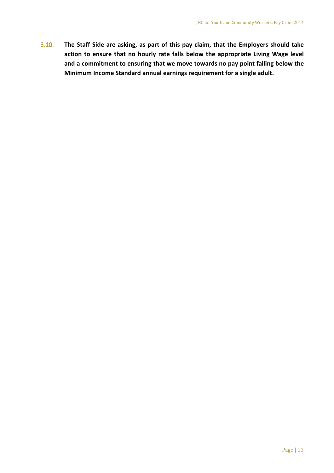3.10. The Staff Side are asking, as part of this pay claim, that the Employers should take action to ensure that no hourly rate falls below the appropriate Living Wage level and a commitment to ensuring that we move towards no pay point falling below the Minimum Income Standard annual earnings requirement for a single adult.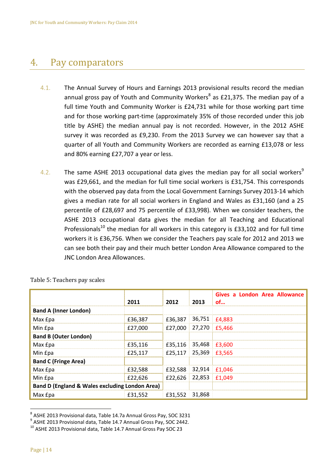## 4. Pay comparators

- 4.1. The Annual Survey of Hours and Earnings 2013 provisional results record the median annual gross pay of Youth and Community Workers $^8$  as £21,375. The median pay of a full time Youth and Community Worker is £24,731 while for those working part time and for those working part-time (approximately 35% of those recorded under this job title by ASHE) the median annual pay is not recorded. However, in the 2012 ASHE survey it was recorded as £9,230. From the 2013 Survey we can however say that a quarter of all Youth and Community Workers are recorded as earning £13,078 or less and 80% earning £27,707 a year or less.
- 4.2. The same ASHE 2013 occupational data gives the median pay for all social workers<sup>9</sup> was £29,661, and the median for full time social workers is £31,754. This corresponds with the observed pay data from the Local Government Earnings Survey 2013-14 which gives a median rate for all social workers in England and Wales as £31,160 (and a 25 percentile of £28,697 and 75 percentile of £33,998). When we consider teachers, the ASHE 2013 occupational data gives the median for all Teaching and Educational Professionals<sup>10</sup> the median for all workers in this category is £33,102 and for full time workers it is £36,756. When we consider the Teachers pay scale for 2012 and 2013 we can see both their pay and their much better London Area Allowance compared to the JNC London Area Allowances.

|                                                | 2011    | 2012                      | 2013          | Gives a London Area Allowance<br>of |
|------------------------------------------------|---------|---------------------------|---------------|-------------------------------------|
| <b>Band A (Inner London)</b>                   |         |                           |               |                                     |
| Max Epa                                        | £36,387 | £36,387                   | 36,751 £4,883 |                                     |
| Min £pa                                        | £27,000 | £27,000   27,270   £5,466 |               |                                     |
| <b>Band B (Outer London)</b>                   |         |                           |               |                                     |
| Max Epa                                        | £35,116 | £35,116 35,468 £3,600     |               |                                     |
| Min Epa                                        | £25,117 | £25,117 25,369 £3,565     |               |                                     |
| <b>Band C (Fringe Area)</b>                    |         |                           |               |                                     |
| Max Epa                                        | £32,588 | £32,588 32,914 £1,046     |               |                                     |
| Min Epa                                        | £22,626 | £22,626 22,853 £1,049     |               |                                     |
| Band D (England & Wales excluding London Area) |         |                           |               |                                     |
| Max Epa                                        | £31.552 | £31,552 31,868            |               |                                     |

Table 5: Teachers pay scales

 $\overline{a}$ 

<sup>8</sup> ASHE 2013 Provisional data, Table 14.7a Annual Gross Pay, SOC 3231

 $^9$  ASHE 2013 Provisional data, Table 14.7 Annual Gross Pay, SOC 2442.

<sup>&</sup>lt;sup>10</sup> ASHE 2013 Provisional data, Table 14.7 Annual Gross Pay SOC 23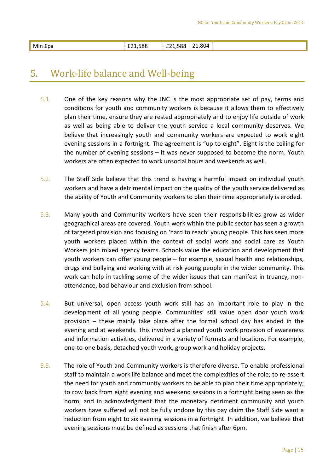| Min <sub>L</sub><br>1,588<br>$\sim$<br>£pa | 804<br><b>COO</b><br><b>n</b><br>$\sim$ $\sim$<br>T/1<br>L,JÖÖ |
|--------------------------------------------|----------------------------------------------------------------|
|--------------------------------------------|----------------------------------------------------------------|

## 5. Work-life balance and Well-being

- 5.1. One of the key reasons why the JNC is the most appropriate set of pay, terms and conditions for youth and community workers is because it allows them to effectively plan their time, ensure they are rested appropriately and to enjoy life outside of work as well as being able to deliver the youth service a local community deserves. We believe that increasingly youth and community workers are expected to work eight evening sessions in a fortnight. The agreement is "up to eight". Eight is the ceiling for the number of evening sessions – it was never supposed to become the norm. Youth workers are often expected to work unsocial hours and weekends as well.
- 5.2. The Staff Side believe that this trend is having a harmful impact on individual youth workers and have a detrimental impact on the quality of the youth service delivered as the ability of Youth and Community workers to plan their time appropriately is eroded.
- 5.3. Many youth and Community workers have seen their responsibilities grow as wider geographical areas are covered. Youth work within the public sector has seen a growth of targeted provision and focusing on 'hard to reach' young people. This has seen more youth workers placed within the context of social work and social care as Youth Workers join mixed agency teams. Schools value the education and development that youth workers can offer young people – for example, sexual health and relationships, drugs and bullying and working with at risk young people in the wider community. This work can help in tackling some of the wider issues that can manifest in truancy, nonattendance, bad behaviour and exclusion from school.
- 5.4. But universal, open access youth work still has an important role to play in the development of all young people. Communities' still value open door youth work provision – these mainly take place after the formal school day has ended in the evening and at weekends. This involved a planned youth work provision of awareness and information activities, delivered in a variety of formats and locations. For example, one-to-one basis, detached youth work, group work and holiday projects.
- 5.5. The role of Youth and Community workers is therefore diverse. To enable professional staff to maintain a work life balance and meet the complexities of the role; to re-assert the need for youth and community workers to be able to plan their time appropriately; to row back from eight evening and weekend sessions in a fortnight being seen as the norm, and in acknowledgment that the monetary detriment community and youth workers have suffered will not be fully undone by this pay claim the Staff Side want a reduction from eight to six evening sessions in a fortnight. In addition, we believe that evening sessions must be defined as sessions that finish after 6pm.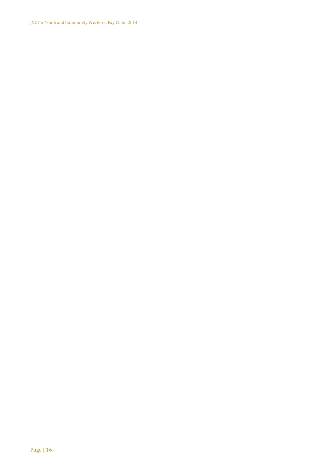JNC for Youth and Community Workers: Pay Claim 2014